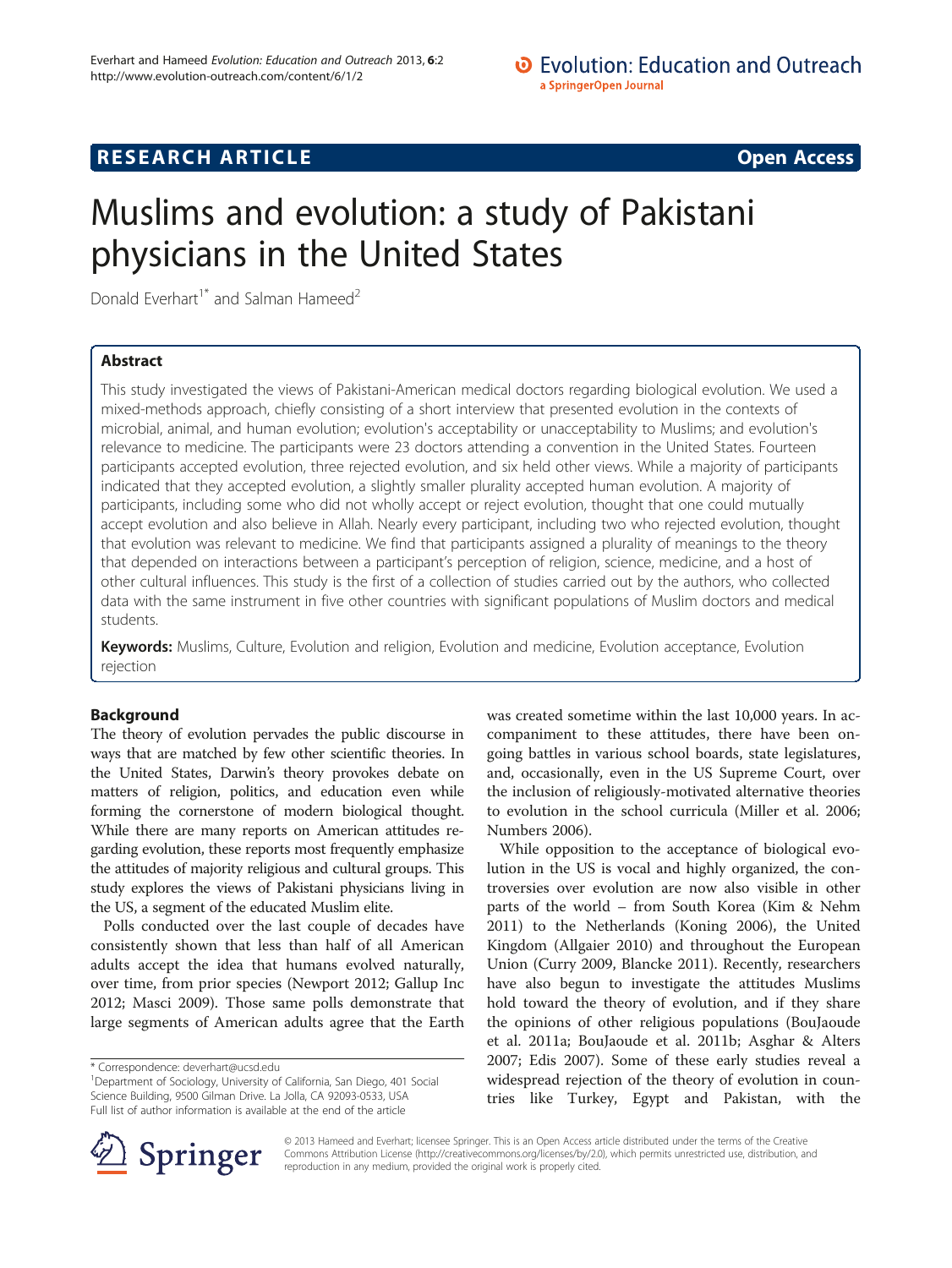## **RESEARCH ARTICLE Example 2014 CONSIDERING CONSIDERING CONSIDERING CONSIDERING CONSIDERING CONSIDERING CONSIDERING CONSIDERING CONSIDERING CONSIDERING CONSIDERING CONSIDERING CONSIDERING CONSIDERING CONSIDERING CONSIDE**

# Muslims and evolution: a study of Pakistani physicians in the United States

Donald Everhart<sup>1\*</sup> and Salman Hameed<sup>2</sup>

### Abstract

This study investigated the views of Pakistani-American medical doctors regarding biological evolution. We used a mixed-methods approach, chiefly consisting of a short interview that presented evolution in the contexts of microbial, animal, and human evolution; evolution's acceptability or unacceptability to Muslims; and evolution's relevance to medicine. The participants were 23 doctors attending a convention in the United States. Fourteen participants accepted evolution, three rejected evolution, and six held other views. While a majority of participants indicated that they accepted evolution, a slightly smaller plurality accepted human evolution. A majority of participants, including some who did not wholly accept or reject evolution, thought that one could mutually accept evolution and also believe in Allah. Nearly every participant, including two who rejected evolution, thought that evolution was relevant to medicine. We find that participants assigned a plurality of meanings to the theory that depended on interactions between a participant's perception of religion, science, medicine, and a host of other cultural influences. This study is the first of a collection of studies carried out by the authors, who collected data with the same instrument in five other countries with significant populations of Muslim doctors and medical students.

Keywords: Muslims, Culture, Evolution and religion, Evolution and medicine, Evolution acceptance, Evolution rejection

#### Background

The theory of evolution pervades the public discourse in ways that are matched by few other scientific theories. In the United States, Darwin's theory provokes debate on matters of religion, politics, and education even while forming the cornerstone of modern biological thought. While there are many reports on American attitudes regarding evolution, these reports most frequently emphasize the attitudes of majority religious and cultural groups. This study explores the views of Pakistani physicians living in the US, a segment of the educated Muslim elite.

Polls conducted over the last couple of decades have consistently shown that less than half of all American adults accept the idea that humans evolved naturally, over time, from prior species (Newport [2012;](#page-7-0) Gallup Inc [2012](#page-7-0); Masci [2009](#page-7-0)). Those same polls demonstrate that large segments of American adults agree that the Earth was created sometime within the last 10,000 years. In accompaniment to these attitudes, there have been ongoing battles in various school boards, state legislatures, and, occasionally, even in the US Supreme Court, over the inclusion of religiously-motivated alternative theories to evolution in the school curricula (Miller et al. [2006](#page-7-0); Numbers [2006](#page-7-0)).

While opposition to the acceptance of biological evolution in the US is vocal and highly organized, the controversies over evolution are now also visible in other parts of the world – from South Korea (Kim & Nehm [2011](#page-7-0)) to the Netherlands (Koning [2006\)](#page-7-0), the United Kingdom (Allgaier [2010](#page-7-0)) and throughout the European Union (Curry [2009](#page-7-0), Blancke [2011\)](#page-7-0). Recently, researchers have also begun to investigate the attitudes Muslims hold toward the theory of evolution, and if they share the opinions of other religious populations (BouJaoude et al. [2011a;](#page-7-0) BouJaoude et al. [2011b](#page-7-0); Asghar & Alters [2007](#page-7-0); Edis [2007\)](#page-7-0). Some of these early studies reveal a widespread rejection of the theory of evolution in countries like Turkey, Egypt and Pakistan, with the



© 2013 Hameed and Everhart; licensee Springer. This is an Open Access article distributed under the terms of the Creative Commons Attribution License (<http://creativecommons.org/licenses/by/2.0>), which permits unrestricted use, distribution, and reproduction in any medium, provided the original work is properly cited.

<sup>\*</sup> Correspondence: [deverhart@ucsd.edu](mailto:deverhart@ucsd.edu) <sup>1</sup>

<sup>&</sup>lt;sup>1</sup>Department of Sociology, University of California, San Diego, 401 Social Science Building, 9500 Gilman Drive. La Jolla, CA 92093-0533, USA Full list of author information is available at the end of the article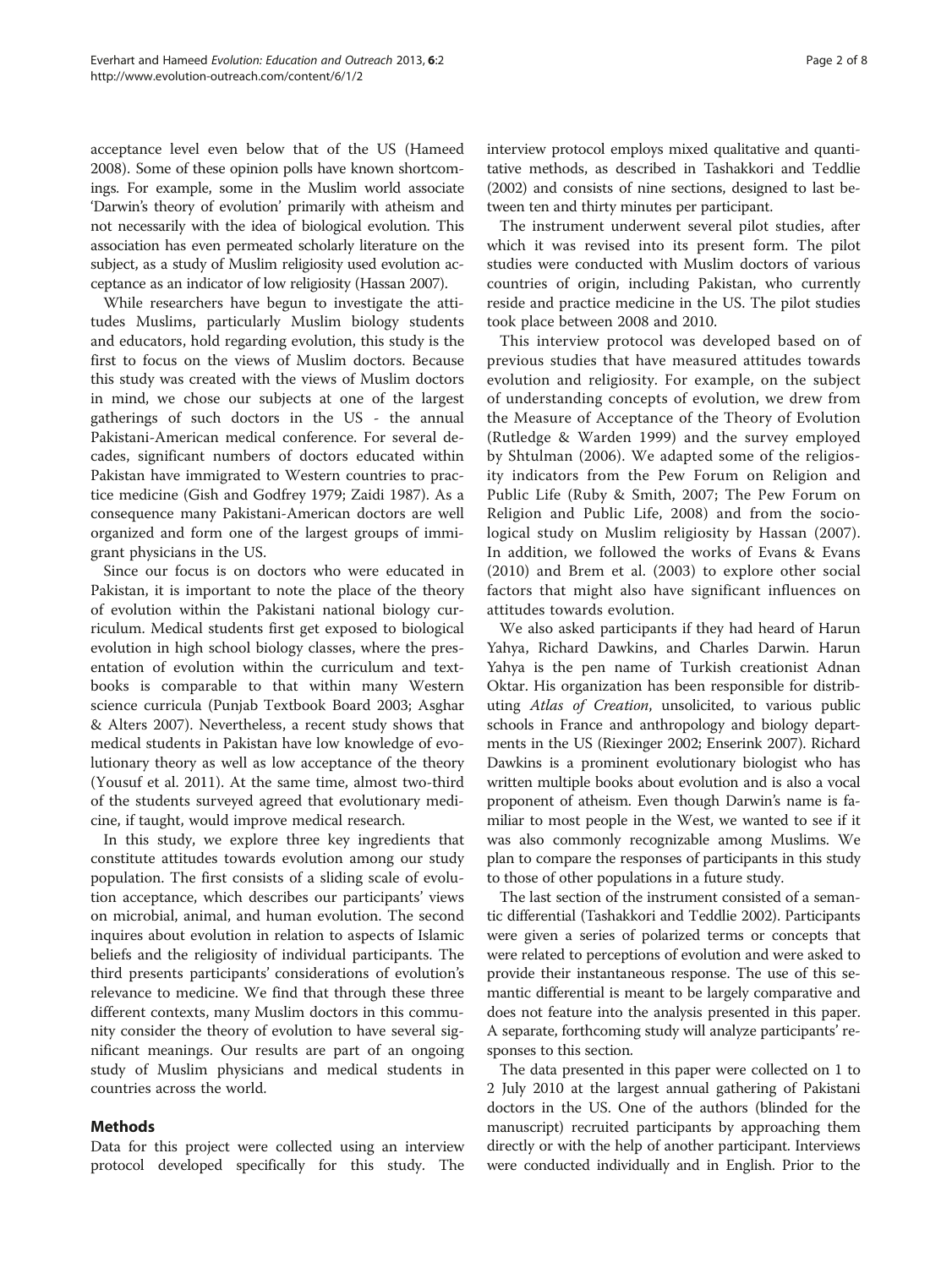acceptance level even below that of the US (Hameed [2008](#page-7-0)). Some of these opinion polls have known shortcomings. For example, some in the Muslim world associate 'Darwin's theory of evolution' primarily with atheism and not necessarily with the idea of biological evolution. This association has even permeated scholarly literature on the subject, as a study of Muslim religiosity used evolution acceptance as an indicator of low religiosity (Hassan [2007](#page-7-0)).

While researchers have begun to investigate the attitudes Muslims, particularly Muslim biology students and educators, hold regarding evolution, this study is the first to focus on the views of Muslim doctors. Because this study was created with the views of Muslim doctors in mind, we chose our subjects at one of the largest gatherings of such doctors in the US - the annual Pakistani-American medical conference. For several decades, significant numbers of doctors educated within Pakistan have immigrated to Western countries to practice medicine (Gish and Godfrey [1979](#page-7-0); Zaidi [1987\)](#page-7-0). As a consequence many Pakistani-American doctors are well organized and form one of the largest groups of immigrant physicians in the US.

Since our focus is on doctors who were educated in Pakistan, it is important to note the place of the theory of evolution within the Pakistani national biology curriculum. Medical students first get exposed to biological evolution in high school biology classes, where the presentation of evolution within the curriculum and textbooks is comparable to that within many Western science curricula (Punjab Textbook Board [2003;](#page-7-0) Asghar & Alters [2007\)](#page-7-0). Nevertheless, a recent study shows that medical students in Pakistan have low knowledge of evolutionary theory as well as low acceptance of the theory (Yousuf et al. 2011). At the same time, almost two-third of the students surveyed agreed that evolutionary medicine, if taught, would improve medical research.

In this study, we explore three key ingredients that constitute attitudes towards evolution among our study population. The first consists of a sliding scale of evolution acceptance, which describes our participants' views on microbial, animal, and human evolution. The second inquires about evolution in relation to aspects of Islamic beliefs and the religiosity of individual participants. The third presents participants' considerations of evolution's relevance to medicine. We find that through these three different contexts, many Muslim doctors in this community consider the theory of evolution to have several significant meanings. Our results are part of an ongoing study of Muslim physicians and medical students in countries across the world.

#### Methods

Data for this project were collected using an interview protocol developed specifically for this study. The interview protocol employs mixed qualitative and quantitative methods, as described in Tashakkori and Teddlie ([2002\)](#page-7-0) and consists of nine sections, designed to last between ten and thirty minutes per participant.

The instrument underwent several pilot studies, after which it was revised into its present form. The pilot studies were conducted with Muslim doctors of various countries of origin, including Pakistan, who currently reside and practice medicine in the US. The pilot studies took place between 2008 and 2010.

This interview protocol was developed based on of previous studies that have measured attitudes towards evolution and religiosity. For example, on the subject of understanding concepts of evolution, we drew from the Measure of Acceptance of the Theory of Evolution (Rutledge & Warden [1999](#page-7-0)) and the survey employed by Shtulman ([2006\)](#page-7-0). We adapted some of the religiosity indicators from the Pew Forum on Religion and Public Life (Ruby & Smith, [2007](#page-7-0); The Pew Forum on Religion and Public Life, [2008](#page-7-0)) and from the sociological study on Muslim religiosity by Hassan ([2007](#page-7-0)). In addition, we followed the works of Evans & Evans ([2010](#page-7-0)) and Brem et al. ([2003](#page-7-0)) to explore other social factors that might also have significant influences on attitudes towards evolution.

We also asked participants if they had heard of Harun Yahya, Richard Dawkins, and Charles Darwin. Harun Yahya is the pen name of Turkish creationist Adnan Oktar. His organization has been responsible for distributing Atlas of Creation, unsolicited, to various public schools in France and anthropology and biology departments in the US (Riexinger [2002;](#page-7-0) Enserink [2007](#page-7-0)). Richard Dawkins is a prominent evolutionary biologist who has written multiple books about evolution and is also a vocal proponent of atheism. Even though Darwin's name is familiar to most people in the West, we wanted to see if it was also commonly recognizable among Muslims. We plan to compare the responses of participants in this study to those of other populations in a future study.

The last section of the instrument consisted of a semantic differential (Tashakkori and Teddlie [2002](#page-7-0)). Participants were given a series of polarized terms or concepts that were related to perceptions of evolution and were asked to provide their instantaneous response. The use of this semantic differential is meant to be largely comparative and does not feature into the analysis presented in this paper. A separate, forthcoming study will analyze participants' responses to this section.

The data presented in this paper were collected on 1 to 2 July 2010 at the largest annual gathering of Pakistani doctors in the US. One of the authors (blinded for the manuscript) recruited participants by approaching them directly or with the help of another participant. Interviews were conducted individually and in English. Prior to the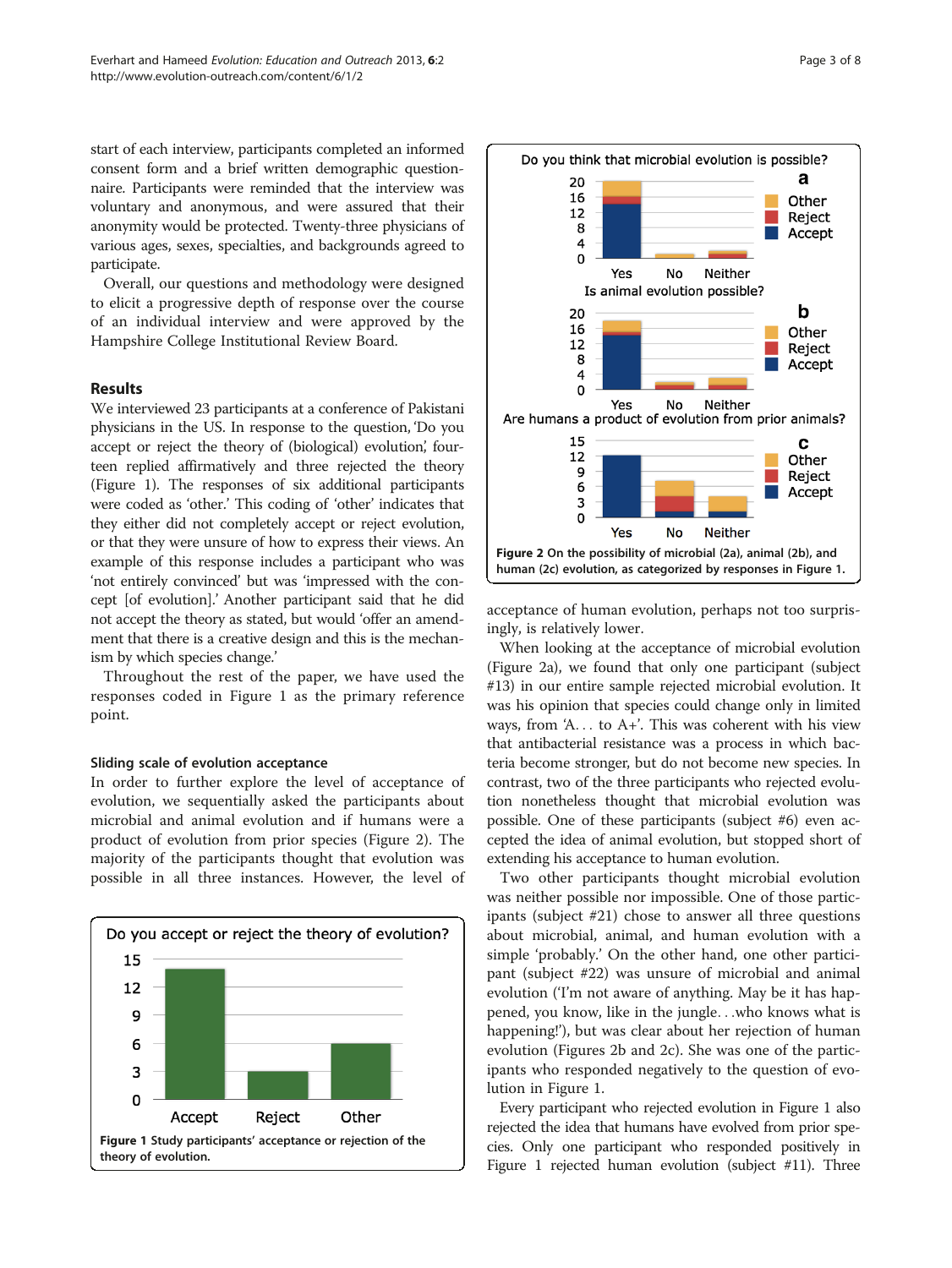<span id="page-2-0"></span>start of each interview, participants completed an informed consent form and a brief written demographic questionnaire. Participants were reminded that the interview was voluntary and anonymous, and were assured that their anonymity would be protected. Twenty-three physicians of various ages, sexes, specialties, and backgrounds agreed to participate.

Overall, our questions and methodology were designed to elicit a progressive depth of response over the course of an individual interview and were approved by the Hampshire College Institutional Review Board.

#### Results

We interviewed 23 participants at a conference of Pakistani physicians in the US. In response to the question, 'Do you accept or reject the theory of (biological) evolution, fourteen replied affirmatively and three rejected the theory (Figure 1). The responses of six additional participants were coded as 'other.' This coding of 'other' indicates that they either did not completely accept or reject evolution, or that they were unsure of how to express their views. An example of this response includes a participant who was 'not entirely convinced' but was 'impressed with the concept [of evolution].' Another participant said that he did not accept the theory as stated, but would 'offer an amendment that there is a creative design and this is the mechanism by which species change.'

Throughout the rest of the paper, we have used the responses coded in Figure 1 as the primary reference point.

#### Sliding scale of evolution acceptance

In order to further explore the level of acceptance of evolution, we sequentially asked the participants about microbial and animal evolution and if humans were a product of evolution from prior species (Figure 2). The majority of the participants thought that evolution was possible in all three instances. However, the level of





acceptance of human evolution, perhaps not too surprisingly, is relatively lower.

When looking at the acceptance of microbial evolution (Figure 2a), we found that only one participant (subject #13) in our entire sample rejected microbial evolution. It was his opinion that species could change only in limited ways, from 'A... to A+'. This was coherent with his view that antibacterial resistance was a process in which bacteria become stronger, but do not become new species. In contrast, two of the three participants who rejected evolution nonetheless thought that microbial evolution was possible. One of these participants (subject #6) even accepted the idea of animal evolution, but stopped short of extending his acceptance to human evolution.

Two other participants thought microbial evolution was neither possible nor impossible. One of those participants (subject #21) chose to answer all three questions about microbial, animal, and human evolution with a simple 'probably.' On the other hand, one other participant (subject #22) was unsure of microbial and animal evolution ('I'm not aware of anything. May be it has happened, you know, like in the jungle...who knows what is happening!'), but was clear about her rejection of human evolution (Figures 2b and 2c). She was one of the participants who responded negatively to the question of evolution in Figure 1.

Every participant who rejected evolution in Figure 1 also rejected the idea that humans have evolved from prior species. Only one participant who responded positively in Figure 1 rejected human evolution (subject #11). Three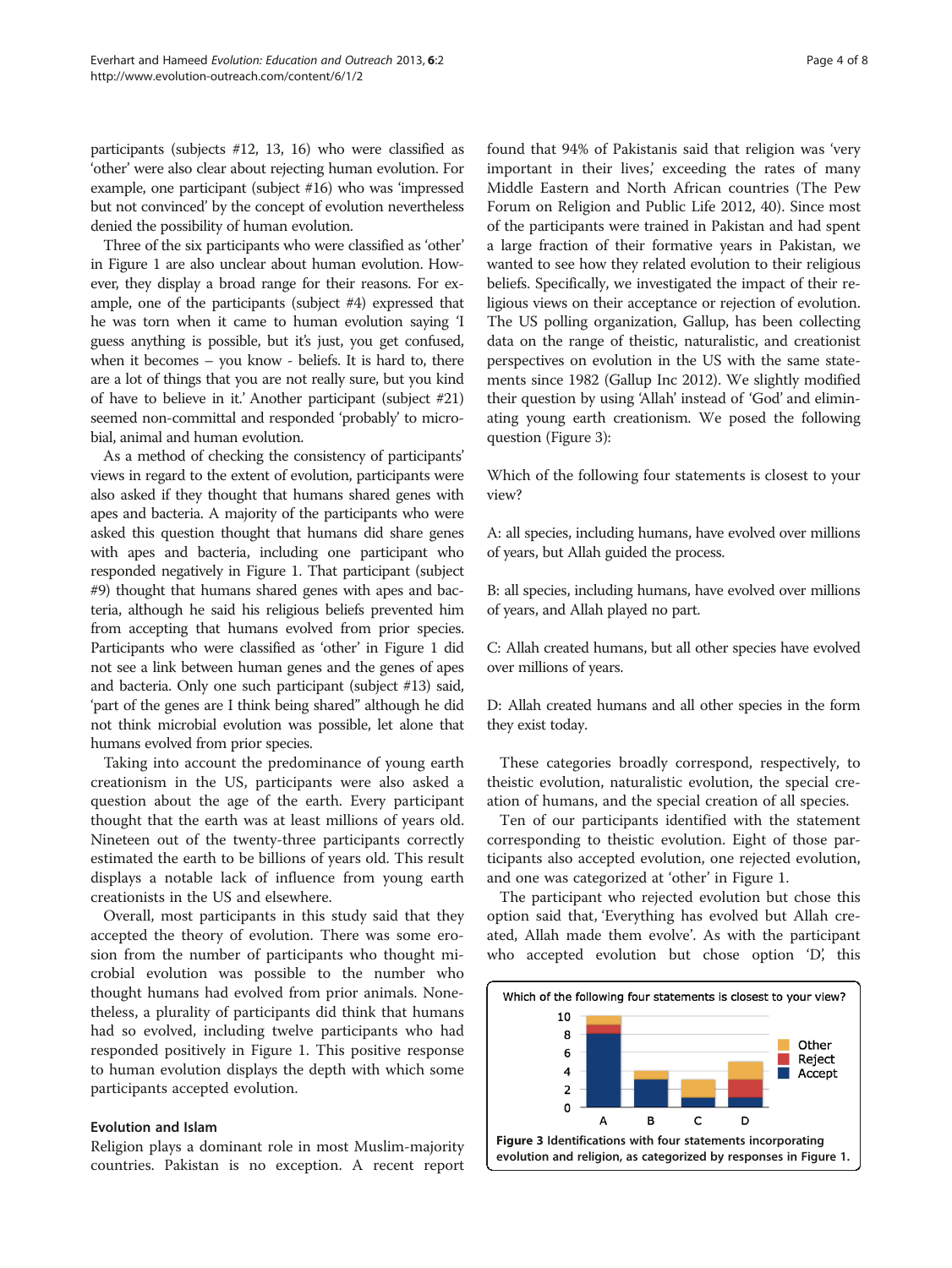<span id="page-3-0"></span>participants (subjects #12, 13, 16) who were classified as 'other' were also clear about rejecting human evolution. For example, one participant (subject #16) who was 'impressed but not convinced' by the concept of evolution nevertheless denied the possibility of human evolution.

Three of the six participants who were classified as 'other' in Figure [1](#page-2-0) are also unclear about human evolution. However, they display a broad range for their reasons. For example, one of the participants (subject #4) expressed that he was torn when it came to human evolution saying 'I guess anything is possible, but it's just, you get confused, when it becomes – you know - beliefs. It is hard to, there are a lot of things that you are not really sure, but you kind of have to believe in it.' Another participant (subject #21) seemed non-committal and responded 'probably' to microbial, animal and human evolution.

As a method of checking the consistency of participants' views in regard to the extent of evolution, participants were also asked if they thought that humans shared genes with apes and bacteria. A majority of the participants who were asked this question thought that humans did share genes with apes and bacteria, including one participant who responded negatively in Figure [1.](#page-2-0) That participant (subject #9) thought that humans shared genes with apes and bacteria, although he said his religious beliefs prevented him from accepting that humans evolved from prior species. Participants who were classified as 'other' in Figure [1](#page-2-0) did not see a link between human genes and the genes of apes and bacteria. Only one such participant (subject #13) said, 'part of the genes are I think being shared" although he did not think microbial evolution was possible, let alone that humans evolved from prior species.

Taking into account the predominance of young earth creationism in the US, participants were also asked a question about the age of the earth. Every participant thought that the earth was at least millions of years old. Nineteen out of the twenty-three participants correctly estimated the earth to be billions of years old. This result displays a notable lack of influence from young earth creationists in the US and elsewhere.

Overall, most participants in this study said that they accepted the theory of evolution. There was some erosion from the number of participants who thought microbial evolution was possible to the number who thought humans had evolved from prior animals. Nonetheless, a plurality of participants did think that humans had so evolved, including twelve participants who had responded positively in Figure [1.](#page-2-0) This positive response to human evolution displays the depth with which some participants accepted evolution.

#### Evolution and Islam

Religion plays a dominant role in most Muslim-majority countries. Pakistan is no exception. A recent report found that 94% of Pakistanis said that religion was 'very important in their lives,' exceeding the rates of many Middle Eastern and North African countries (The Pew Forum on Religion and Public Life [2012,](#page-7-0) 40). Since most of the participants were trained in Pakistan and had spent a large fraction of their formative years in Pakistan, we wanted to see how they related evolution to their religious beliefs. Specifically, we investigated the impact of their religious views on their acceptance or rejection of evolution. The US polling organization, Gallup, has been collecting data on the range of theistic, naturalistic, and creationist perspectives on evolution in the US with the same statements since 1982 (Gallup Inc [2012](#page-7-0)). We slightly modified their question by using 'Allah' instead of 'God' and eliminating young earth creationism. We posed the following question (Figure 3):

Which of the following four statements is closest to your view?

A: all species, including humans, have evolved over millions of years, but Allah guided the process.

B: all species, including humans, have evolved over millions of years, and Allah played no part.

C: Allah created humans, but all other species have evolved over millions of years.

D: Allah created humans and all other species in the form they exist today.

These categories broadly correspond, respectively, to theistic evolution, naturalistic evolution, the special creation of humans, and the special creation of all species.

Ten of our participants identified with the statement corresponding to theistic evolution. Eight of those participants also accepted evolution, one rejected evolution, and one was categorized at 'other' in Figure [1.](#page-2-0)

The participant who rejected evolution but chose this option said that, 'Everything has evolved but Allah created, Allah made them evolve'. As with the participant who accepted evolution but chose option 'D', this

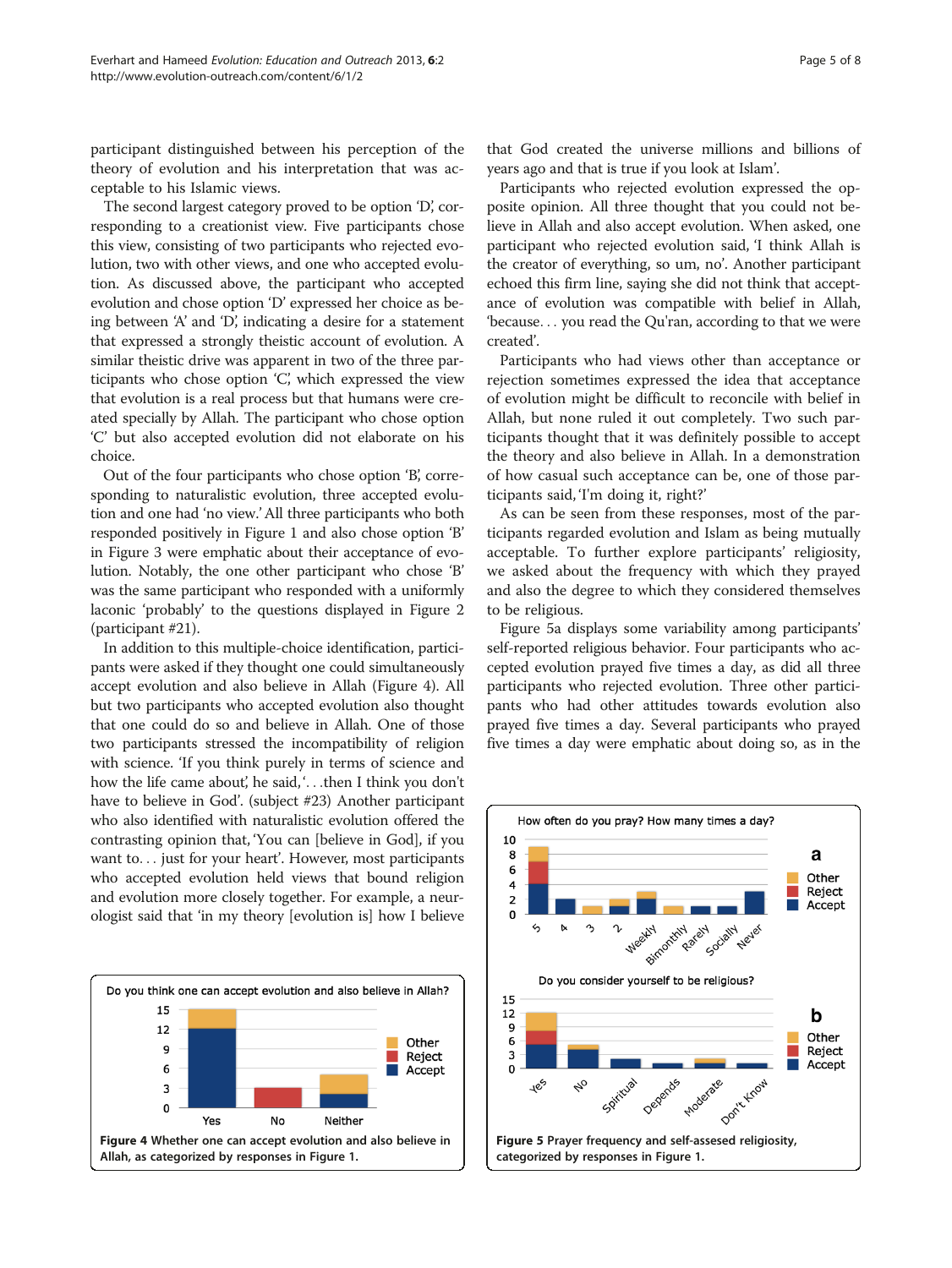<span id="page-4-0"></span>participant distinguished between his perception of the theory of evolution and his interpretation that was acceptable to his Islamic views.

The second largest category proved to be option 'D', corresponding to a creationist view. Five participants chose this view, consisting of two participants who rejected evolution, two with other views, and one who accepted evolution. As discussed above, the participant who accepted evolution and chose option 'D' expressed her choice as being between 'A' and 'D', indicating a desire for a statement that expressed a strongly theistic account of evolution. A similar theistic drive was apparent in two of the three participants who chose option 'C', which expressed the view that evolution is a real process but that humans were created specially by Allah. The participant who chose option 'C' but also accepted evolution did not elaborate on his choice.

Out of the four participants who chose option 'B', corresponding to naturalistic evolution, three accepted evolution and one had 'no view.' All three participants who both responded positively in Figure [1](#page-2-0) and also chose option 'B' in Figure [3](#page-3-0) were emphatic about their acceptance of evolution. Notably, the one other participant who chose 'B' was the same participant who responded with a uniformly laconic 'probably' to the questions displayed in Figure [2](#page-2-0) (participant #21).

In addition to this multiple-choice identification, participants were asked if they thought one could simultaneously accept evolution and also believe in Allah (Figure 4). All but two participants who accepted evolution also thought that one could do so and believe in Allah. One of those two participants stressed the incompatibility of religion with science. 'If you think purely in terms of science and how the life came about, he said, '...then I think you don't have to believe in God'. (subject #23) Another participant who also identified with naturalistic evolution offered the contrasting opinion that, 'You can [believe in God], if you want to... just for your heart'. However, most participants who accepted evolution held views that bound religion and evolution more closely together. For example, a neurologist said that 'in my theory [evolution is] how I believe



that God created the universe millions and billions of years ago and that is true if you look at Islam'.

Participants who rejected evolution expressed the opposite opinion. All three thought that you could not believe in Allah and also accept evolution. When asked, one participant who rejected evolution said, 'I think Allah is the creator of everything, so um, no'. Another participant echoed this firm line, saying she did not think that acceptance of evolution was compatible with belief in Allah, 'because... you read the Qu'ran, according to that we were created'.

Participants who had views other than acceptance or rejection sometimes expressed the idea that acceptance of evolution might be difficult to reconcile with belief in Allah, but none ruled it out completely. Two such participants thought that it was definitely possible to accept the theory and also believe in Allah. In a demonstration of how casual such acceptance can be, one of those participants said, 'I'm doing it, right?'

As can be seen from these responses, most of the participants regarded evolution and Islam as being mutually acceptable. To further explore participants' religiosity, we asked about the frequency with which they prayed and also the degree to which they considered themselves to be religious.

Figure 5a displays some variability among participants' self-reported religious behavior. Four participants who accepted evolution prayed five times a day, as did all three participants who rejected evolution. Three other participants who had other attitudes towards evolution also prayed five times a day. Several participants who prayed five times a day were emphatic about doing so, as in the

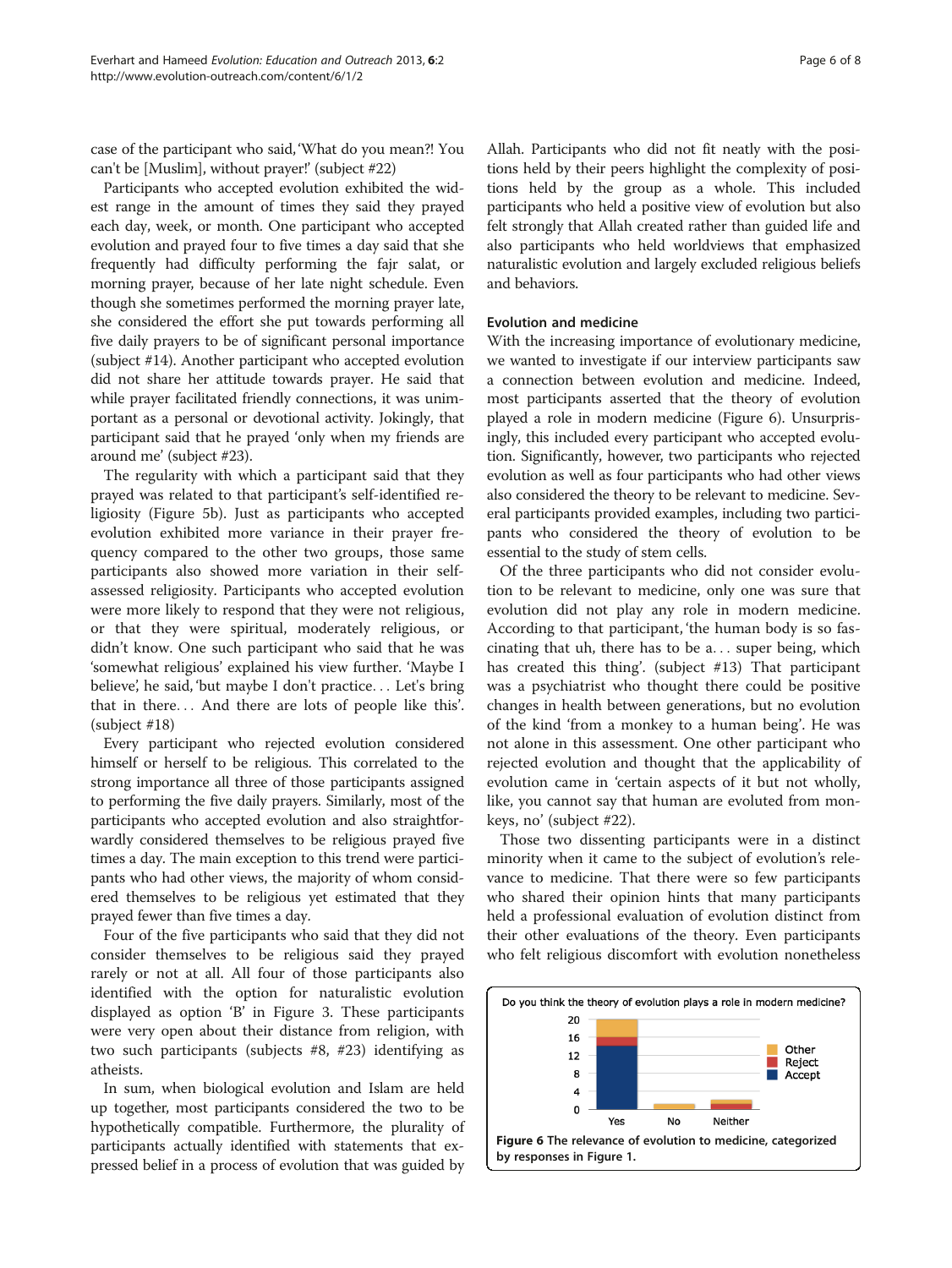case of the participant who said, 'What do you mean?! You can't be [Muslim], without prayer!' (subject #22)

Participants who accepted evolution exhibited the widest range in the amount of times they said they prayed each day, week, or month. One participant who accepted evolution and prayed four to five times a day said that she frequently had difficulty performing the fajr salat, or morning prayer, because of her late night schedule. Even though she sometimes performed the morning prayer late, she considered the effort she put towards performing all five daily prayers to be of significant personal importance (subject #14). Another participant who accepted evolution did not share her attitude towards prayer. He said that while prayer facilitated friendly connections, it was unimportant as a personal or devotional activity. Jokingly, that participant said that he prayed 'only when my friends are around me' (subject #23).

The regularity with which a participant said that they prayed was related to that participant's self-identified religiosity (Figure [5b](#page-4-0)). Just as participants who accepted evolution exhibited more variance in their prayer frequency compared to the other two groups, those same participants also showed more variation in their selfassessed religiosity. Participants who accepted evolution were more likely to respond that they were not religious, or that they were spiritual, moderately religious, or didn't know. One such participant who said that he was 'somewhat religious' explained his view further. 'Maybe I believe', he said, 'but maybe I don't practice... Let's bring that in there... And there are lots of people like this'. (subject #18)

Every participant who rejected evolution considered himself or herself to be religious. This correlated to the strong importance all three of those participants assigned to performing the five daily prayers. Similarly, most of the participants who accepted evolution and also straightforwardly considered themselves to be religious prayed five times a day. The main exception to this trend were participants who had other views, the majority of whom considered themselves to be religious yet estimated that they prayed fewer than five times a day.

Four of the five participants who said that they did not consider themselves to be religious said they prayed rarely or not at all. All four of those participants also identified with the option for naturalistic evolution displayed as option 'B' in Figure [3](#page-3-0). These participants were very open about their distance from religion, with two such participants (subjects #8, #23) identifying as atheists.

In sum, when biological evolution and Islam are held up together, most participants considered the two to be hypothetically compatible. Furthermore, the plurality of participants actually identified with statements that expressed belief in a process of evolution that was guided by

Allah. Participants who did not fit neatly with the positions held by their peers highlight the complexity of positions held by the group as a whole. This included participants who held a positive view of evolution but also felt strongly that Allah created rather than guided life and also participants who held worldviews that emphasized naturalistic evolution and largely excluded religious beliefs and behaviors.

#### Evolution and medicine

With the increasing importance of evolutionary medicine, we wanted to investigate if our interview participants saw a connection between evolution and medicine. Indeed, most participants asserted that the theory of evolution played a role in modern medicine (Figure 6). Unsurprisingly, this included every participant who accepted evolution. Significantly, however, two participants who rejected evolution as well as four participants who had other views also considered the theory to be relevant to medicine. Several participants provided examples, including two participants who considered the theory of evolution to be essential to the study of stem cells.

Of the three participants who did not consider evolution to be relevant to medicine, only one was sure that evolution did not play any role in modern medicine. According to that participant, 'the human body is so fascinating that uh, there has to be a... super being, which has created this thing'. (subject #13) That participant was a psychiatrist who thought there could be positive changes in health between generations, but no evolution of the kind 'from a monkey to a human being'. He was not alone in this assessment. One other participant who rejected evolution and thought that the applicability of evolution came in 'certain aspects of it but not wholly, like, you cannot say that human are evoluted from monkeys, no' (subject #22).

Those two dissenting participants were in a distinct minority when it came to the subject of evolution's relevance to medicine. That there were so few participants who shared their opinion hints that many participants held a professional evaluation of evolution distinct from their other evaluations of the theory. Even participants who felt religious discomfort with evolution nonetheless

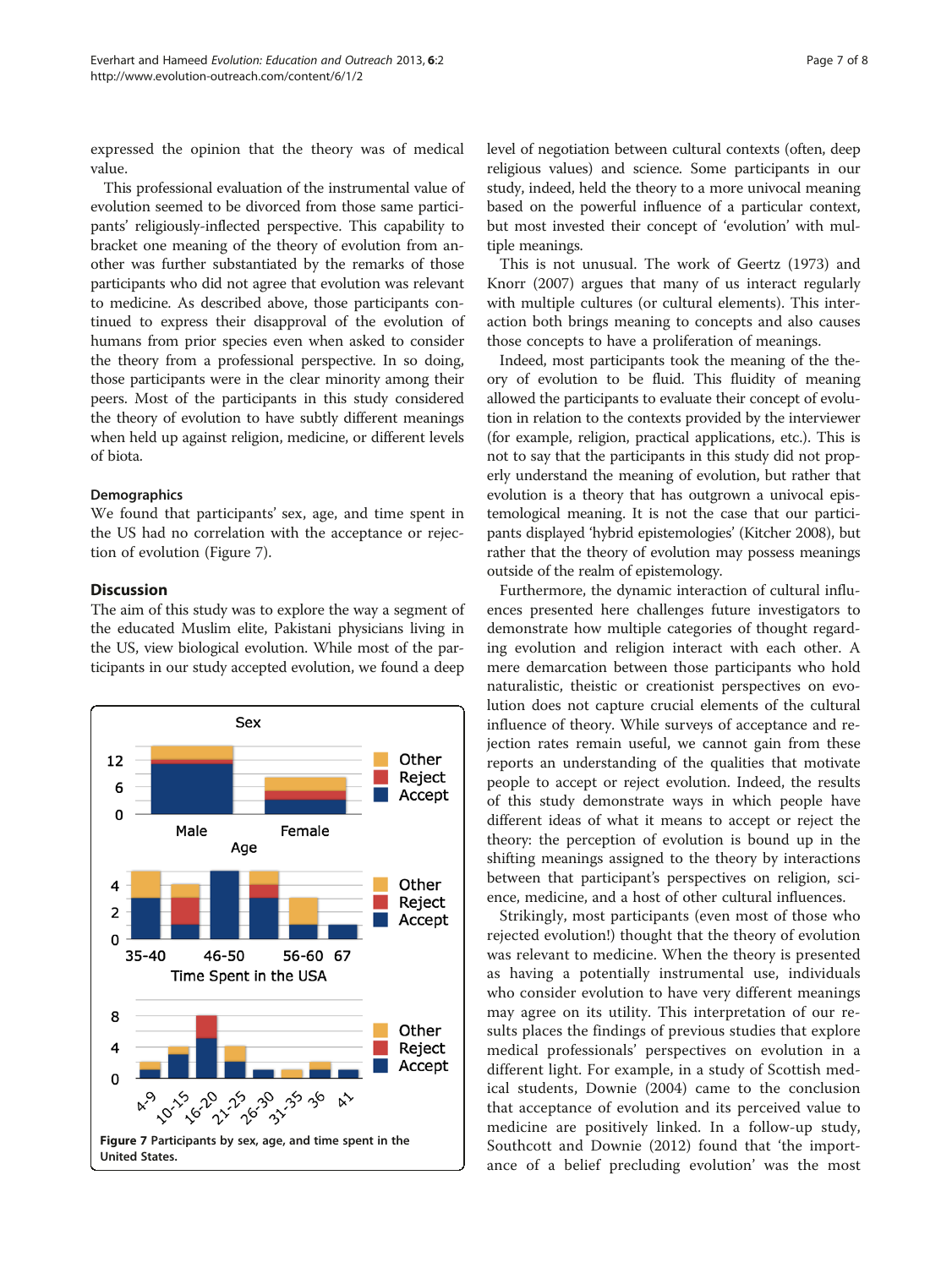expressed the opinion that the theory was of medical value.

This professional evaluation of the instrumental value of evolution seemed to be divorced from those same participants' religiously-inflected perspective. This capability to bracket one meaning of the theory of evolution from another was further substantiated by the remarks of those participants who did not agree that evolution was relevant to medicine. As described above, those participants continued to express their disapproval of the evolution of humans from prior species even when asked to consider the theory from a professional perspective. In so doing, those participants were in the clear minority among their peers. Most of the participants in this study considered the theory of evolution to have subtly different meanings when held up against religion, medicine, or different levels of biota.

#### **Demographics**

We found that participants' sex, age, and time spent in the US had no correlation with the acceptance or rejection of evolution (Figure 7).

#### **Discussion**

The aim of this study was to explore the way a segment of the educated Muslim elite, Pakistani physicians living in the US, view biological evolution. While most of the participants in our study accepted evolution, we found a deep



level of negotiation between cultural contexts (often, deep religious values) and science. Some participants in our study, indeed, held the theory to a more univocal meaning based on the powerful influence of a particular context, but most invested their concept of 'evolution' with multiple meanings.

This is not unusual. The work of Geertz (1973) and Knorr ([2007](#page-7-0)) argues that many of us interact regularly with multiple cultures (or cultural elements). This interaction both brings meaning to concepts and also causes those concepts to have a proliferation of meanings.

Indeed, most participants took the meaning of the theory of evolution to be fluid. This fluidity of meaning allowed the participants to evaluate their concept of evolution in relation to the contexts provided by the interviewer (for example, religion, practical applications, etc.). This is not to say that the participants in this study did not properly understand the meaning of evolution, but rather that evolution is a theory that has outgrown a univocal epistemological meaning. It is not the case that our participants displayed 'hybrid epistemologies' (Kitcher [2008](#page-7-0)), but rather that the theory of evolution may possess meanings outside of the realm of epistemology.

Furthermore, the dynamic interaction of cultural influences presented here challenges future investigators to demonstrate how multiple categories of thought regarding evolution and religion interact with each other. A mere demarcation between those participants who hold naturalistic, theistic or creationist perspectives on evolution does not capture crucial elements of the cultural influence of theory. While surveys of acceptance and rejection rates remain useful, we cannot gain from these reports an understanding of the qualities that motivate people to accept or reject evolution. Indeed, the results of this study demonstrate ways in which people have different ideas of what it means to accept or reject the theory: the perception of evolution is bound up in the shifting meanings assigned to the theory by interactions between that participant's perspectives on religion, science, medicine, and a host of other cultural influences.

Strikingly, most participants (even most of those who rejected evolution!) thought that the theory of evolution was relevant to medicine. When the theory is presented as having a potentially instrumental use, individuals who consider evolution to have very different meanings may agree on its utility. This interpretation of our results places the findings of previous studies that explore medical professionals' perspectives on evolution in a different light. For example, in a study of Scottish medical students, Downie ([2004\)](#page-7-0) came to the conclusion that acceptance of evolution and its perceived value to medicine are positively linked. In a follow-up study, Southcott and Downie [\(2012](#page-7-0)) found that 'the importance of a belief precluding evolution' was the most